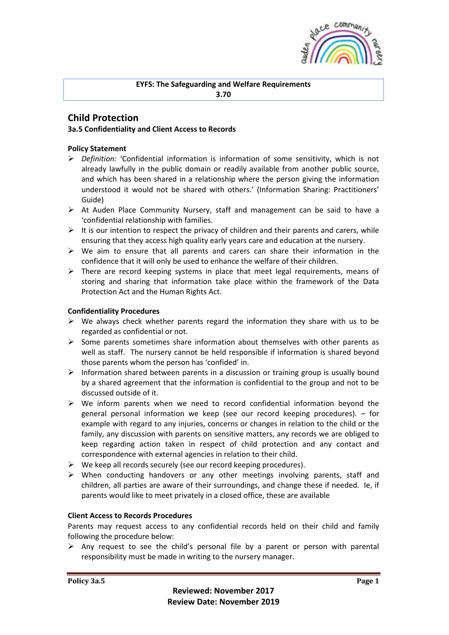

## **EYFS: The Safeguarding and Welfare Requirements 3.70**

# **Child Protection**

# **3a.5 Confidentiality and Client Access to Records**

# **Policy Statement**

- ➢ *Definition:* 'Confidential information is information of some sensitivity, which is not already lawfully in the public domain or readily available from another public source, and which has been shared in a relationship where the person giving the information understood it would not be shared with others.' (Information Sharing: Practitioners' Guide)
- ➢ At Auden Place Community Nursery, staff and management can be said to have a 'confidential relationship with families.
- $\triangleright$  It is our intention to respect the privacy of children and their parents and carers, while ensuring that they access high quality early years care and education at the nursery.
- $\triangleright$  We aim to ensure that all parents and carers can share their information in the confidence that it will only be used to enhance the welfare of their children.
- $\triangleright$  There are record keeping systems in place that meet legal requirements, means of storing and sharing that information take place within the framework of the Data Protection Act and the Human Rights Act.

## **Confidentiality Procedures**

- $\triangleright$  We always check whether parents regard the information they share with us to be regarded as confidential or not.
- $\triangleright$  Some parents sometimes share information about themselves with other parents as well as staff. The nursery cannot be held responsible if information is shared beyond those parents whom the person has 'confided' in.
- $\triangleright$  Information shared between parents in a discussion or training group is usually bound by a shared agreement that the information is confidential to the group and not to be discussed outside of it.
- $\triangleright$  We inform parents when we need to record confidential information beyond the general personal information we keep (see our record keeping procedures). – for example with regard to any injuries, concerns or changes in relation to the child or the family, any discussion with parents on sensitive matters, any records we are obliged to keep regarding action taken in respect of child protection and any contact and correspondence with external agencies in relation to their child.
- ➢ We keep all records securely (see our record keeping procedures).
- $\triangleright$  When conducting handovers or any other meetings involving parents, staff and children, all parties are aware of their surroundings, and change these if needed. Ie, if parents would like to meet privately in a closed office, these are available

### **Client Access to Records Procedures**

Parents may request access to any confidential records held on their child and family following the procedure below:

 $\triangleright$  Any request to see the child's personal file by a parent or person with parental responsibility must be made in writing to the nursery manager.